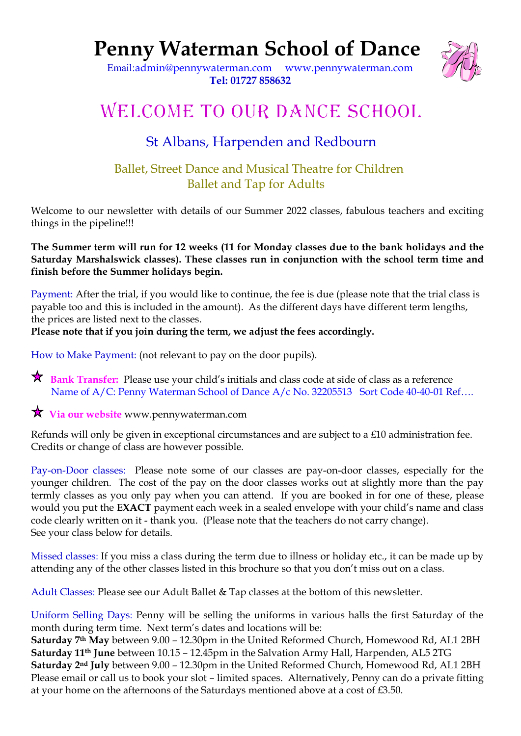# **Penny Waterman School of Dance**



 Email:[admin@pennywaterman.com](mailto:admin@pennywaterman.com) [www.pennywaterman.com](http://www.pennywaterman.com/) **Tel: 01727 858632**

# WELCOME TO OUR DANCE SCHOOL

## St Albans, Harpenden and Redbourn

### Ballet, Street Dance and Musical Theatre for Children Ballet and Tap for Adults

Welcome to our newsletter with details of our Summer 2022 classes, fabulous teachers and exciting things in the pipeline!!!

**The Summer term will run for 12 weeks (11 for Monday classes due to the bank holidays and the Saturday Marshalswick classes). These classes run in conjunction with the school term time and finish before the Summer holidays begin.**

Payment: After the trial, if you would like to continue, the fee is due (please note that the trial class is payable too and this is included in the amount). As the different days have different term lengths, the prices are listed next to the classes.

#### **Please note that if you join during the term, we adjust the fees accordingly.**

How to Make Payment: (not relevant to pay on the door pupils).

**R** Bank Transfer: Please use your child's initials and class code at side of class as a reference Name of A/C: Penny Waterman School of Dance A/c No. 32205513 Sort Code 40-40-01 Ref....

### **Via our website** www.pennywaterman.com

Refunds will only be given in exceptional circumstances and are subject to a £10 administration fee. Credits or change of class are however possible.

Pay-on-Door classes: Please note some of our classes are pay-on-door classes, especially for the younger children. The cost of the pay on the door classes works out at slightly more than the pay termly classes as you only pay when you can attend. If you are booked in for one of these, please would you put the **EXACT** payment each week in a sealed envelope with your child's name and class code clearly written on it - thank you. (Please note that the teachers do not carry change). See your class below for details.

Missed classes: If you miss a class during the term due to illness or holiday etc., it can be made up by attending any of the other classes listed in this brochure so that you don't miss out on a class.

Adult Classes: Please see our Adult Ballet & Tap classes at the bottom of this newsletter.

Uniform Selling Days: Penny will be selling the uniforms in various halls the first Saturday of the month during term time. Next term's dates and locations will be:

**Saturday 7th May** between 9.00 – 12.30pm in the United Reformed Church, Homewood Rd, AL1 2BH **Saturday 11th June** between 10.15 – 12.45pm in the Salvation Army Hall, Harpenden, AL5 2TG **Saturday 2nd July** between 9.00 – 12.30pm in the United Reformed Church, Homewood Rd, AL1 2BH Please email or call us to book your slot – limited spaces. Alternatively, Penny can do a private fitting at your home on the afternoons of the Saturdays mentioned above at a cost of £3.50.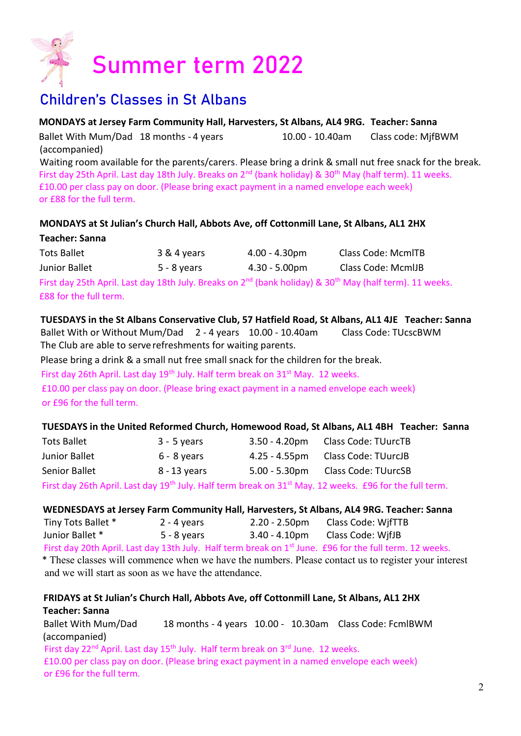

## Children's Classes in St Albans

 **MONDAYS at Jersey Farm Community Hall, Harvesters, St Albans, AL4 9RG. Teacher: Sanna**

Ballet With Mum/Dad 18 months - 4 years 10.00 - 10.40am Class code: MifBWM (accompanied)

 Waiting room available for the parents/carers. Please bring a drink & small nut free snack for the break. First day 25th April. Last day 18th July. Breaks on  $2^{nd}$  (bank holiday) & 30<sup>th</sup> May (half term). 11 weeks. £10.00 per class pay on door. (Please bring exact payment in a named envelope each week) or £88 for the full term.

#### **MONDAYS at St Julian's Church Hall, Abbots Ave, off Cottonmill Lane, St Albans, AL1 2HX**

#### **Teacher: Sanna**

| Tots Ballet   | 3 & 4 years   | $4.00 - 4.30$ pm        | Class Code: McmITB |
|---------------|---------------|-------------------------|--------------------|
| Junior Ballet | $5 - 8$ years | $4.30 - 5.00 \text{pm}$ | Class Code: McmIJB |
|               |               |                         |                    |

First day 25th April. Last day 18th July. Breaks on 2<sup>nd</sup> (bank holiday) & 30<sup>th</sup> May (half term). 11 weeks. £88 for the full term.

#### **TUESDAYS in the St Albans Conservative Club, 57 Hatfield Road, St Albans, AL1 4JE Teacher: Sanna**

 Ballet With or Without Mum/Dad 2 - 4 years 10.00 - 10.40am Class Code: TUcscBWM The Club are able to serve refreshments for waiting parents.

Please bring a drink & a small nut free small snack for the children for the break.

First day 26th April. Last day 19<sup>th</sup> July. Half term break on 31<sup>st</sup> May. 12 weeks.

 £10.00 per class pay on door. (Please bring exact payment in a named envelope each week) or £96 for the full term.

#### **TUESDAYS in the United Reformed Church, Homewood Road, St Albans, AL1 4BH Teacher: Sanna**

| <b>Tots Ballet</b> | $3 - 5$ years | $3.50 - 4.20$ pm | <b>Class Code: TUurcTB</b>                                                                                                      |
|--------------------|---------------|------------------|---------------------------------------------------------------------------------------------------------------------------------|
| Junior Ballet      | $6 - 8$ years | $4.25 - 4.55$ pm | Class Code: TUurcJB                                                                                                             |
| Senior Ballet      | 8 - 13 years  | $5.00 - 5.30$ pm | Class Code: TUurcSB                                                                                                             |
|                    |               |                  | First day 26th April. Last day 19 <sup>th</sup> July. Half term break on 31 <sup>st</sup> May. 12 weeks. £96 for the full term. |

#### **WEDNESDAYS at Jersey Farm Community Hall, Harvesters, St Albans, AL4 9RG. Teacher: Sanna**

Tiny Tots Ballet \* 2 - 4 years 2.20 - 2.50pm Class Code: WjfTTB Junior Ballet \* 5 - 8 years 3.40 - 4.10pm Class Code: WjfJB

First day 20th April. Last day 13th July. Half term break on 1<sup>st</sup> June. £96 for the full term. 12 weeks.

 \* These classes will commence when we have the numbers. Please contact us to register your interest and we will start as soon as we have the attendance.

#### **FRIDAYS at St Julian's Church Hall, Abbots Ave, off Cottonmill Lane, St Albans, AL1 2HX Teacher: Sanna**

 Ballet With Mum/Dad 18 months - 4 years 10.00 - 10.30am Class Code: FcmlBWM (accompanied)

First day 22<sup>nd</sup> April. Last day 15<sup>th</sup> July. Half term break on 3<sup>rd</sup> June. 12 weeks. £10.00 per class pay on door. (Please bring exact payment in a named envelope each week) or £96 for the full term.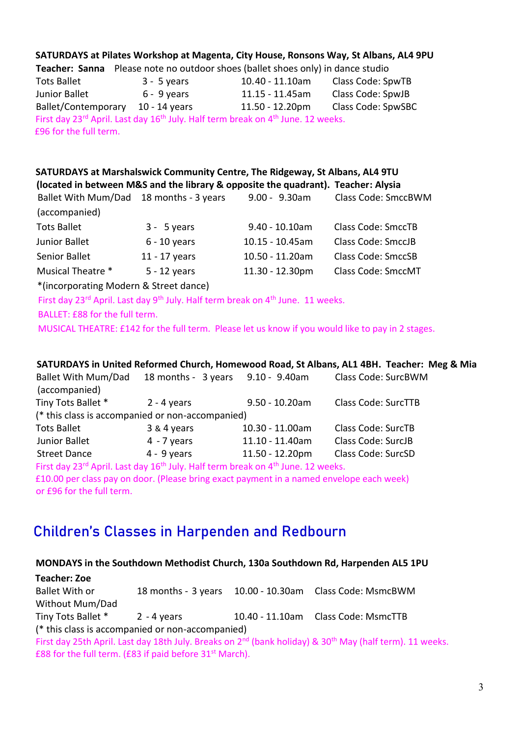|                                        | $3 - 5$ years                                                                                                        | 10.40 - 11.10am    | Class Code: SpwTB         |
|----------------------------------------|----------------------------------------------------------------------------------------------------------------------|--------------------|---------------------------|
| Junior Ballet                          | 6 - 9 years                                                                                                          | 11.15 - 11.45am    | Class Code: SpwJB         |
| Ballet/Contemporary 10 - 14 years      |                                                                                                                      | 11.50 - 12.20pm    | Class Code: SpwSBC        |
| £96 for the full term.                 | First day 23 <sup>rd</sup> April. Last day 16 <sup>th</sup> July. Half term break on 4 <sup>th</sup> June. 12 weeks. |                    |                           |
|                                        | SATURDAYS at Marshalswick Community Centre, The Ridgeway, St Albans, AL4 9TU                                         |                    |                           |
|                                        | (located in between M&S and the library & opposite the quadrant). Teacher: Alysia                                    |                    |                           |
|                                        | Ballet With Mum/Dad 18 months - 3 years                                                                              | 9.00 - 9.30am      | Class Code: SmccBWM       |
| (accompanied)                          |                                                                                                                      |                    |                           |
| <b>Tots Ballet</b>                     | $3 - 5$ years                                                                                                        | $9.40 - 10.10$ am  | <b>Class Code: SmccTB</b> |
| Junior Ballet                          | $6 - 10$ years                                                                                                       | $10.15 - 10.45$ am | <b>Class Code: SmccJB</b> |
| <b>Senior Ballet</b>                   | 11 - 17 years                                                                                                        | 10.50 - 11.20am    | <b>Class Code: SmccSB</b> |
| Musical Theatre *                      | $5 - 12$ years                                                                                                       | 11.30 - 12.30pm    | <b>Class Code: SmccMT</b> |
|                                        |                                                                                                                      |                    |                           |
| *(incorporating Modern & Street dance) |                                                                                                                      |                    |                           |
|                                        | First day 23 <sup>rd</sup> April. Last day 9 <sup>th</sup> July. Half term break on 4 <sup>th</sup> June. 11 weeks.  |                    |                           |
| BALLET: £88 for the full term.         |                                                                                                                      |                    |                           |

|                                                  |                                                                                                          |                                   |                   | SATURDAYS in United Reformed Church, Homewood Road, St Albans, AL1 4BH. Teacher: Meg & Mia |  |  |
|--------------------------------------------------|----------------------------------------------------------------------------------------------------------|-----------------------------------|-------------------|--------------------------------------------------------------------------------------------|--|--|
|                                                  | <b>Ballet With Mum/Dad</b>                                                                               | 18 months - 3 years 9.10 - 9.40am |                   | Class Code: SurcBWM                                                                        |  |  |
|                                                  | (accompanied)                                                                                            |                                   |                   |                                                                                            |  |  |
|                                                  | Tiny Tots Ballet *                                                                                       | $2 - 4$ years                     | $9.50 - 10.20$ am | <b>Class Code: SurcTTB</b>                                                                 |  |  |
| (* this class is accompanied or non-accompanied) |                                                                                                          |                                   |                   |                                                                                            |  |  |
|                                                  | <b>Tots Ballet</b>                                                                                       | 3 & 4 years                       | 10.30 - 11.00am   | Class Code: SurcTB                                                                         |  |  |
|                                                  | Junior Ballet                                                                                            | $4 - 7$ years                     | 11.10 - 11.40am   | Class Code: SurcJB                                                                         |  |  |
|                                                  | <b>Street Dance</b>                                                                                      | $4 - 9$ years                     | 11.50 - 12.20pm   | Class Code: SurcSD                                                                         |  |  |
|                                                  | First day 23rd April. Last day 16 <sup>th</sup> July. Half term break on 4 <sup>th</sup> June. 12 weeks. |                                   |                   |                                                                                            |  |  |
|                                                  | £10.00 per class pay on door. (Please bring exact payment in a named envelope each week)                 |                                   |                   |                                                                                            |  |  |
|                                                  | or £96 for the full term.                                                                                |                                   |                   |                                                                                            |  |  |

## Children's Classes in Harpenden and Redbourn

| MONDAYS in the Southdown Methodist Church, 130a Southdown Rd, Harpenden AL5 1PU                                                  |  |  |                                                         |  |  |
|----------------------------------------------------------------------------------------------------------------------------------|--|--|---------------------------------------------------------|--|--|
| <b>Teacher: Zoe</b>                                                                                                              |  |  |                                                         |  |  |
| <b>Ballet With or</b>                                                                                                            |  |  | 18 months - 3 years 10.00 - 10.30am Class Code: MsmcBWM |  |  |
| Without Mum/Dad                                                                                                                  |  |  |                                                         |  |  |
| Tiny Tots Ballet * 2 - 4 years                                                                                                   |  |  | 10.40 - 11.10am Class Code: MsmcTTB                     |  |  |
| (* this class is accompanied or non-accompanied)                                                                                 |  |  |                                                         |  |  |
| First day 25th April. Last day 18th July. Breaks on 2 <sup>nd</sup> (bank holiday) & 30 <sup>th</sup> May (half term). 11 weeks. |  |  |                                                         |  |  |
| £88 for the full term. (£83 if paid before 31 <sup>st</sup> March).                                                              |  |  |                                                         |  |  |